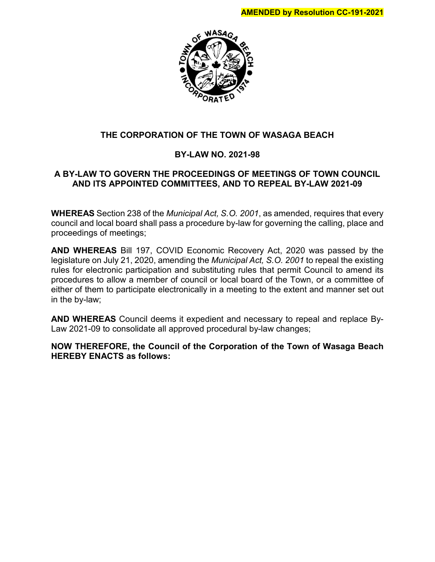

# **THE CORPORATION OF THE TOWN OF WASAGA BEACH**

# **BY-LAW NO. 2021-98**

# **A BY-LAW TO GOVERN THE PROCEEDINGS OF MEETINGS OF TOWN COUNCIL AND ITS APPOINTED COMMITTEES, AND TO REPEAL BY-LAW 2021-09**

**WHEREAS** Section 238 of the *Municipal Act, S.O. 2001*, as amended, requires that every council and local board shall pass a procedure by-law for governing the calling, place and proceedings of meetings;

**AND WHEREAS** Bill 197, COVID Economic Recovery Act, 2020 was passed by the legislature on July 21, 2020, amending the *Municipal Act, S.O. 2001* to repeal the existing rules for electronic participation and substituting rules that permit Council to amend its procedures to allow a member of council or local board of the Town, or a committee of either of them to participate electronically in a meeting to the extent and manner set out in the by-law;

**AND WHEREAS** Council deems it expedient and necessary to repeal and replace By-Law 2021-09 to consolidate all approved procedural by-law changes;

**NOW THEREFORE, the Council of the Corporation of the Town of Wasaga Beach HEREBY ENACTS as follows:**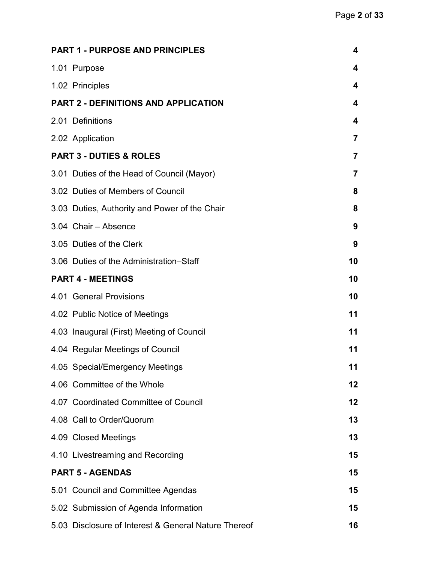| <b>PART 1 - PURPOSE AND PRINCIPLES</b>               | 4              |
|------------------------------------------------------|----------------|
| 1.01 Purpose                                         | 4              |
| 1.02 Principles                                      | 4              |
| <b>PART 2 - DEFINITIONS AND APPLICATION</b>          | 4              |
| 2.01 Definitions                                     | 4              |
| 2.02 Application                                     | $\overline{7}$ |
| <b>PART 3 - DUTIES &amp; ROLES</b>                   | 7              |
| 3.01 Duties of the Head of Council (Mayor)           | 7              |
| 3.02 Duties of Members of Council                    | 8              |
| 3.03 Duties, Authority and Power of the Chair        | 8              |
| 3.04 Chair - Absence                                 | 9              |
| 3.05 Duties of the Clerk                             | 9              |
| 3.06 Duties of the Administration–Staff              | 10             |
| <b>PART 4 - MEETINGS</b>                             | 10             |
| 4.01 General Provisions                              | 10             |
| 4.02 Public Notice of Meetings                       | 11             |
| 4.03 Inaugural (First) Meeting of Council            | 11             |
| 4.04 Regular Meetings of Council                     | 11             |
| 4.05 Special/Emergency Meetings                      | 11             |
| 4.06 Committee of the Whole                          | $12 \,$        |
| 4.07 Coordinated Committee of Council                | $12 \,$        |
| 4.08 Call to Order/Quorum                            | 13             |
| 4.09 Closed Meetings                                 | 13             |
| 4.10 Livestreaming and Recording                     | 15             |
| <b>PART 5 - AGENDAS</b>                              | 15             |
| 5.01 Council and Committee Agendas                   | 15             |
| 5.02 Submission of Agenda Information                | 15             |
| 5.03 Disclosure of Interest & General Nature Thereof | 16             |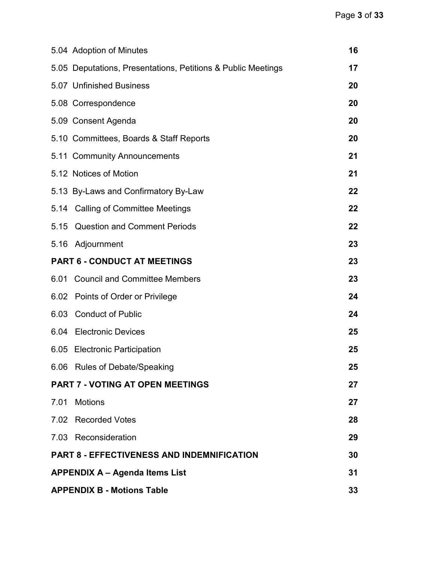<span id="page-2-0"></span>

|      | 5.04 Adoption of Minutes                                     | 16 |  |
|------|--------------------------------------------------------------|----|--|
|      | 5.05 Deputations, Presentations, Petitions & Public Meetings | 17 |  |
|      | 5.07 Unfinished Business                                     | 20 |  |
|      | 5.08 Correspondence                                          | 20 |  |
|      | 5.09 Consent Agenda                                          | 20 |  |
|      | 5.10 Committees, Boards & Staff Reports                      | 20 |  |
|      | 5.11 Community Announcements                                 | 21 |  |
|      | 5.12 Notices of Motion                                       | 21 |  |
|      | 5.13 By-Laws and Confirmatory By-Law                         | 22 |  |
|      | 5.14 Calling of Committee Meetings                           | 22 |  |
| 5.15 | <b>Question and Comment Periods</b>                          | 22 |  |
|      | 5.16 Adjournment                                             | 23 |  |
|      | <b>PART 6 - CONDUCT AT MEETINGS</b>                          | 23 |  |
|      | 6.01 Council and Committee Members                           | 23 |  |
|      | 6.02 Points of Order or Privilege                            | 24 |  |
|      | 6.03 Conduct of Public                                       | 24 |  |
|      | 6.04 Electronic Devices                                      | 25 |  |
|      | 6.05 Electronic Participation                                | 25 |  |
|      | 6.06 Rules of Debate/Speaking                                | 25 |  |
|      | <b>PART 7 - VOTING AT OPEN MEETINGS</b>                      | 27 |  |
| 7.01 | <b>Motions</b>                                               | 27 |  |
|      | 7.02 Recorded Votes                                          | 28 |  |
|      | 7.03 Reconsideration                                         | 29 |  |
|      | <b>PART 8 - EFFECTIVENESS AND INDEMNIFICATION</b>            | 30 |  |
|      | <b>APPENDIX A - Agenda Items List</b>                        |    |  |
|      | <b>APPENDIX B - Motions Table</b>                            |    |  |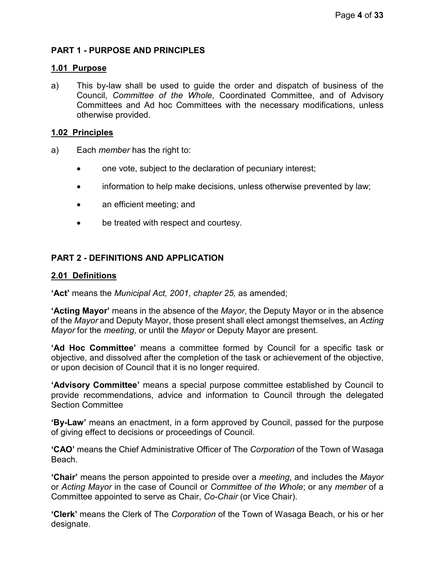# **PART 1 - PURPOSE AND PRINCIPLES**

#### <span id="page-3-0"></span>**1.01 Purpose**

a) This by-law shall be used to guide the order and dispatch of business of the Council, *Committee of the Whole*, Coordinated Committee, and of Advisory Committees and Ad hoc Committees with the necessary modifications, unless otherwise provided.

#### <span id="page-3-1"></span>**1.02 Principles**

- a) Each *member* has the right to:
	- one vote, subject to the declaration of pecuniary interest;
	- information to help make decisions, unless otherwise prevented by law;
	- an efficient meeting; and
	- be treated with respect and courtesy.

# <span id="page-3-2"></span>**PART 2 - DEFINITIONS AND APPLICATION**

#### <span id="page-3-3"></span>**2.01 Definitions**

**'Act'** means the *Municipal Act, 2001, chapter 25,* as amended;

**'Acting Mayor'** means in the absence of the *Mayor*, the Deputy Mayor or in the absence of the *Mayor* and Deputy Mayor, those present shall elect amongst themselves, an *Acting Mayor* for the *meeting*, or until the *Mayor* or Deputy Mayor are present.

**'Ad Hoc Committee'** means a committee formed by Council for a specific task or objective, and dissolved after the completion of the task or achievement of the objective, or upon decision of Council that it is no longer required.

**'Advisory Committee'** means a special purpose committee established by Council to provide recommendations, advice and information to Council through the delegated Section Committee

**'By-Law'** means an enactment, in a form approved by Council, passed for the purpose of giving effect to decisions or proceedings of Council.

**'CAO'** means the Chief Administrative Officer of The *Corporation* of the Town of Wasaga Beach.

**'Chair'** means the person appointed to preside over a *meeting*, and includes the *Mayor* or *Acting Mayor* in the case of Council or *Committee of the Whole*; or any *member* of a Committee appointed to serve as Chair, *Co-Chair* (or Vice Chair).

**'Clerk'** means the Clerk of The *Corporation* of the Town of Wasaga Beach, or his or her designate.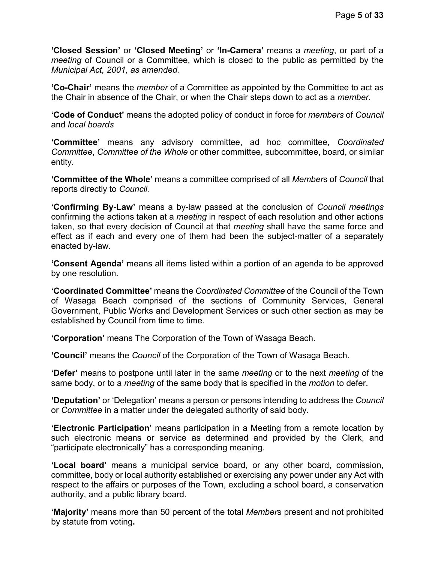**'Closed Session'** or **'Closed Meeting'** or **'In-Camera'** means a *meeting*, or part of a *meeting* of Council or a Committee, which is closed to the public as permitted by the *Municipal Act, 2001, as amended.*

**'Co-Chair'** means the *member* of a Committee as appointed by the Committee to act as the Chair in absence of the Chair, or when the Chair steps down to act as a *member*.

**'Code of Conduct'** means the adopted policy of conduct in force for *members* of *Council*  and *local boards*

**'Committee'** means any advisory committee, ad hoc committee, *Coordinated Committee*, *Committee of the Whole* or other committee, subcommittee, board, or similar entity.

**'Committee of the Whole'** means a committee comprised of all *Member*s of *Council* that reports directly to *Council.*

**'Confirming By-Law'** means a by-law passed at the conclusion of *Council meetings* confirming the actions taken at a *meeting* in respect of each resolution and other actions taken, so that every decision of Council at that *meeting* shall have the same force and effect as if each and every one of them had been the subject-matter of a separately enacted by-law.

**'Consent Agenda'** means all items listed within a portion of an agenda to be approved by one resolution.

**'Coordinated Committee'** means the *Coordinated Committee* of the Council of the Town of Wasaga Beach comprised of the sections of Community Services, General Government, Public Works and Development Services or such other section as may be established by Council from time to time.

**'Corporation'** means The Corporation of the Town of Wasaga Beach.

**'Council'** means the *Council* of the Corporation of the Town of Wasaga Beach.

**'Defer'** means to postpone until later in the same *meeting* or to the next *meeting* of the same body, or to a *meeting* of the same body that is specified in the *motion* to defer.

**'Deputation'** or 'Delegation' means a person or persons intending to address the *Council* or *Committee* in a matter under the delegated authority of said body.

**'Electronic Participation'** means participation in a Meeting from a remote location by such electronic means or service as determined and provided by the Clerk, and "participate electronically" has a corresponding meaning.

**'Local board'** means a municipal service board, or any other board, commission, committee, body or local authority established or exercising any power under any Act with respect to the affairs or purposes of the Town, excluding a school board, a conservation authority, and a public library board.

**'Majority'** means more than 50 percent of the total *Member*s present and not prohibited by statute from voting**.**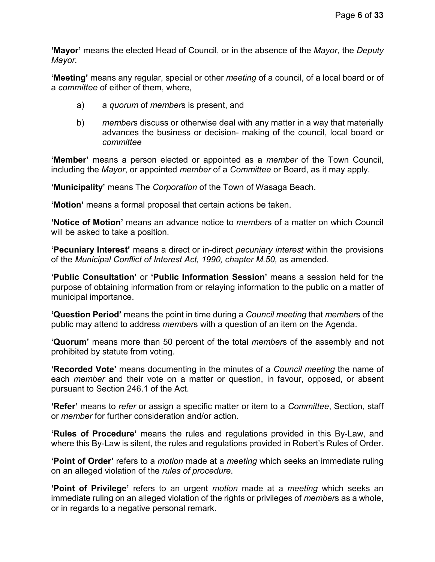**'Mayor'** means the elected Head of Council, or in the absence of the *Mayor*, the *Deputy Mayor.*

**'Meeting'** means any regular, special or other *meeting* of a council, of a local board or of a *committee* of either of them, where,

- a) a *quorum* of *member*s is present, and
- b) *member*s discuss or otherwise deal with any matter in a way that materially advances the business or decision- making of the council, local board or *committee*

**'Member'** means a person elected or appointed as a *member* of the Town Council, including the *Mayor*, or appointed *member* of a *Committee* or Board, as it may apply.

**'Municipality'** means The *Corporation* of the Town of Wasaga Beach.

**'Motion'** means a formal proposal that certain actions be taken.

**'Notice of Motion'** means an advance notice to *member*s of a matter on which Council will be asked to take a position.

**'Pecuniary Interest'** means a direct or in-direct *pecuniary interest* within the provisions of the *Municipal Conflict of Interest Act, 1990, chapter M.50,* as amended.

**'Public Consultation'** or **'Public Information Session'** means a session held for the purpose of obtaining information from or relaying information to the public on a matter of municipal importance.

**'Question Period'** means the point in time during a *Council meeting* that *member*s of the public may attend to address *member*s with a question of an item on the Agenda.

**'Quorum'** means more than 50 percent of the total *member*s of the assembly and not prohibited by statute from voting.

**'Recorded Vote'** means documenting in the minutes of a *Council meeting* the name of each *member* and their vote on a matter or question, in favour, opposed, or absent pursuant to Section 246.1 of the Act.

**'Refer'** means to *refer* or assign a specific matter or item to a *Committee*, Section, staff or *member* for further consideration and/or action.

**'Rules of Procedure'** means the rules and regulations provided in this By-Law, and where this By-Law is silent, the rules and regulations provided in Robert's Rules of Order.

**'Point of Order'** refers to a *motion* made at a *meeting* which seeks an immediate ruling on an alleged violation of the *rules of procedure*.

**'Point of Privilege'** refers to an urgent *motion* made at a *meeting* which seeks an immediate ruling on an alleged violation of the rights or privileges of *member*s as a whole, or in regards to a negative personal remark.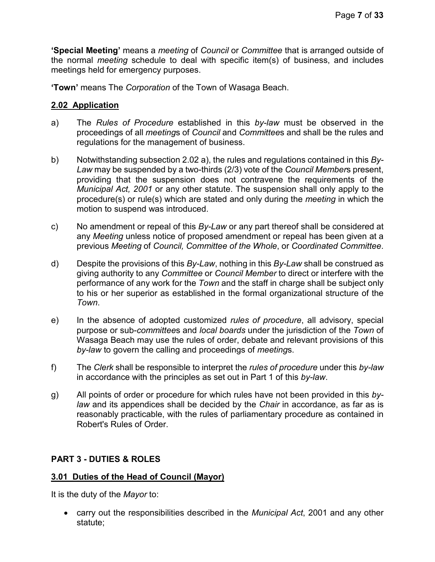**'Special Meeting'** means a *meeting* of *Council* or *Committee* that is arranged outside of the normal *meeting* schedule to deal with specific item(s) of business, and includes meetings held for emergency purposes.

**'Town'** means The *Corporation* of the Town of Wasaga Beach.

# <span id="page-6-0"></span>**2.02 Application**

- a) The *Rules of Procedure* established in this *by-law* must be observed in the proceedings of all *meeting*s of *Council* and *Committee*s and shall be the rules and regulations for the management of business.
- b) Notwithstanding subsection 2.02 a), the rules and regulations contained in this *By-Law* may be suspended by a two-thirds (2/3) vote of the *Council Member*s present, providing that the suspension does not contravene the requirements of the *Municipal Act, 2001* or any other statute. The suspension shall only apply to the procedure(s) or rule(s) which are stated and only during the *meeting* in which the motion to suspend was introduced.
- c) No amendment or repeal of this *By-Law* or any part thereof shall be considered at any *Meeting* unless notice of proposed amendment or repeal has been given at a previous *Meeting* of *Council, Committee of the Whole*, or *Coordinated Committee*.
- d) Despite the provisions of this *By-Law*, nothing in this *By-Law* shall be construed as giving authority to any *Committee* or *Council Member* to direct or interfere with the performance of any work for the *Town* and the staff in charge shall be subject only to his or her superior as established in the formal organizational structure of the *Town*.
- e) In the absence of adopted customized *rules of procedure*, all advisory, special purpose or sub-*committee*s and *local boards* under the jurisdiction of the *Town* of Wasaga Beach may use the rules of order, debate and relevant provisions of this *by-law* to govern the calling and proceedings of *meeting*s.
- f) The *Clerk* shall be responsible to interpret the *rules of procedure* under this *by-law* in accordance with the principles as set out in Part 1 of this *by-law*.
- g) All points of order or procedure for which rules have not been provided in this *bylaw* and its appendices shall be decided by the *Chair* in accordance, as far as is reasonably practicable, with the rules of parliamentary procedure as contained in Robert's Rules of Order.

# <span id="page-6-1"></span>**PART 3 - DUTIES & ROLES**

# <span id="page-6-2"></span>**3.01 Duties of the Head of Council (Mayor)**

It is the duty of the *Mayor* to:

• carry out the responsibilities described in the *Municipal Act*, 2001 and any other statute;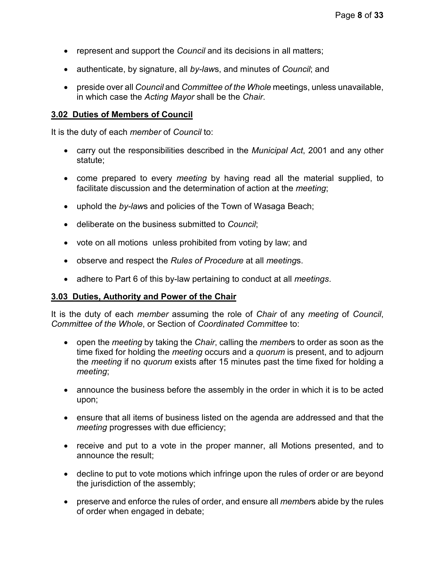- represent and support the *Council* and its decisions in all matters;
- authenticate, by signature, all *by-law*s, and minutes of *Council*; and
- preside over all *Council* and *Committee of the Whole* meetings, unless unavailable, in which case the *Acting Mayor* shall be the *Chair*.

### <span id="page-7-0"></span>**3.02 Duties of Members of Council**

It is the duty of each *member* of *Council* to:

- carry out the responsibilities described in the *Municipal Act*, 2001 and any other statute;
- come prepared to every *meeting* by having read all the material supplied, to facilitate discussion and the determination of action at the *meeting*;
- uphold the *by-law*s and policies of the Town of Wasaga Beach;
- deliberate on the business submitted to *Council*;
- vote on all motions unless prohibited from voting by law; and
- observe and respect the *Rules of Procedure* at all *meeting*s.
- adhere to Part 6 of this by-law pertaining to conduct at all *meetings*.

## <span id="page-7-1"></span>**3.03 Duties, Authority and Power of the Chair**

It is the duty of each *member* assuming the role of *Chair* of any *meeting* of *Council*, *Committee of the Whole*, or Section of *Coordinated Committee* to:

- open the *meeting* by taking the *Chair*, calling the *member*s to order as soon as the time fixed for holding the *meeting* occurs and a *quorum* is present, and to adjourn the *meeting* if no *quorum* exists after 15 minutes past the time fixed for holding a *meeting*;
- announce the business before the assembly in the order in which it is to be acted upon;
- ensure that all items of business listed on the agenda are addressed and that the *meeting* progresses with due efficiency;
- receive and put to a vote in the proper manner, all Motions presented, and to announce the result;
- decline to put to vote motions which infringe upon the rules of order or are beyond the jurisdiction of the assembly;
- preserve and enforce the rules of order, and ensure all *member*s abide by the rules of order when engaged in debate;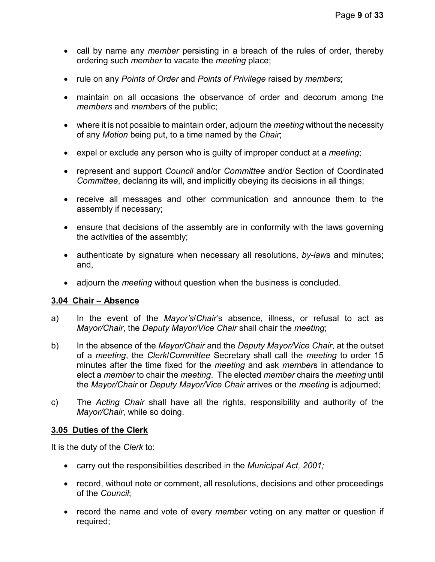- call by name any *member* persisting in a breach of the rules of order, thereby ordering such *member* to vacate the *meeting* place;
- rule on any *Points of Order* and *Points of Privilege* raised by *members*;
- maintain on all occasions the observance of order and decorum among the *members* and *member*s of the public;
- where it is not possible to maintain order, adjourn the *meeting* without the necessity of any *Motion* being put, to a time named by the *Chair*;
- expel or exclude any person who is guilty of improper conduct at a *meeting*;
- represent and support *Council* and/or *Committee* and/or Section of Coordinated *Committee*, declaring its will, and implicitly obeying its decisions in all things;
- receive all messages and other communication and announce them to the assembly if necessary;
- ensure that decisions of the assembly are in conformity with the laws governing the activities of the assembly;
- authenticate by signature when necessary all resolutions, *by-law*s and minutes; and,
- adjourn the *meeting* without question when the business is concluded.

## <span id="page-8-0"></span>**3.04 Chair – Absence**

- a) In the event of the *Mayor's*/*Chair*'s absence, illness, or refusal to act as *Mayor/Chair*, the *Deputy Mayor/Vice Chair* shall chair the *meeting*;
- b) In the absence of the *Mayor/Chair* and the *Deputy Mayor/Vice Chair*, at the outset of a *meeting*, the *Clerk*/*Committee* Secretary shall call the *meeting* to order 15 minutes after the time fixed for the *meeting* and ask *member*s in attendance to elect a *member* to chair the *meeting*. The elected *member* chairs the *meeting* until the *Mayor/Chair* or *Deputy Mayor/Vice Chair* arrives or the *meeting* is adjourned;
- c) The *Acting Chair* shall have all the rights, responsibility and authority of the *Mayor/Chair*, while so doing.

## <span id="page-8-1"></span>**3.05 Duties of the Clerk**

It is the duty of the *Clerk* to:

- carry out the responsibilities described in the *Municipal Act, 2001;*
- record, without note or comment, all resolutions, decisions and other proceedings of the *Council*;
- record the name and vote of every *member* voting on any matter or question if required;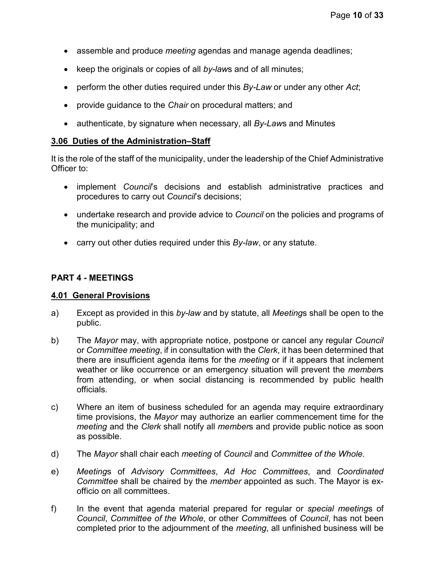- assemble and produce *meeting* agendas and manage agenda deadlines;
- keep the originals or copies of all *by-law*s and of all minutes;
- perform the other duties required under this *By-Law* or under any other *Act*;
- provide guidance to the *Chair* on procedural matters; and
- authenticate, by signature when necessary, all *By-Law*s and Minutes

## <span id="page-9-0"></span>**3.06 Duties of the Administration–Staff**

It is the role of the staff of the municipality, under the leadership of the Chief Administrative Officer to:

- implement *Council*'s decisions and establish administrative practices and procedures to carry out *Council*'s decisions;
- undertake research and provide advice to *Council* on the policies and programs of the municipality; and
- carry out other duties required under this *By-law*, or any statute.

# <span id="page-9-1"></span>**PART 4 - MEETINGS**

## <span id="page-9-2"></span>**4.01 General Provisions**

- a) Except as provided in this *by-law* and by statute, all *Meeting*s shall be open to the public.
- b) The *Mayor* may, with appropriate notice, postpone or cancel any regular *Council* or *Committee meeting*, if in consultation with the *Clerk*, it has been determined that there are insufficient agenda items for the *meeting* or if it appears that inclement weather or like occurrence or an emergency situation will prevent the *member*s from attending, or when social distancing is recommended by public health officials.
- c) Where an item of business scheduled for an agenda may require extraordinary time provisions, the *Mayor* may authorize an earlier commencement time for the *meeting* and the *Clerk* shall notify all *member*s and provide public notice as soon as possible.
- d) The *Mayor* shall chair each *meeting* of *Council* and *Committee of the Whole*.
- e) *Meeting*s of *Advisory Committees*, *Ad Hoc Committees*, and *Coordinated Committee* shall be chaired by the *member* appointed as such. The Mayor is exofficio on all committees.
- f) In the event that agenda material prepared for regular or *special meeting*s of *Council*, *Committee of the Whole*, or other *Committee*s of *Council*, has not been completed prior to the adjournment of the *meeting*, all unfinished business will be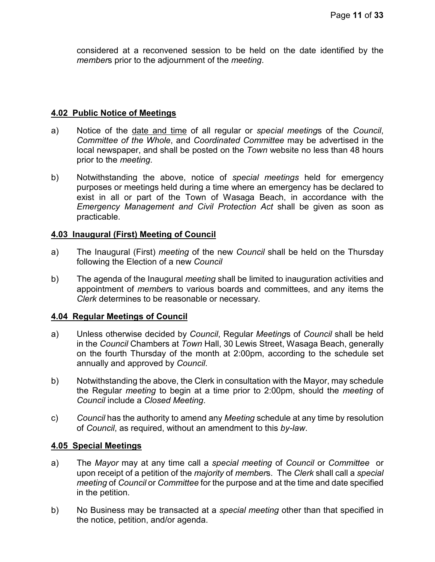considered at a reconvened session to be held on the date identified by the *member*s prior to the adjournment of the *meeting*.

#### <span id="page-10-0"></span>**4.02 Public Notice of Meetings**

- a) Notice of the date and time of all regular or *special meeting*s of the *Council*, *Committee of the Whole*, and *Coordinated Committee* may be advertised in the local newspaper, and shall be posted on the *Town* website no less than 48 hours prior to the *meeting*.
- b) Notwithstanding the above, notice of *special meetings* held for emergency purposes or meetings held during a time where an emergency has be declared to exist in all or part of the Town of Wasaga Beach, in accordance with the *Emergency Management and Civil Protection Act* shall be given as soon as practicable.

#### <span id="page-10-1"></span>**4.03 Inaugural (First) Meeting of Council**

- a) The Inaugural (First) *meeting* of the new *Council* shall be held on the Thursday following the Election of a new *Council*
- b) The agenda of the Inaugural *meeting* shall be limited to inauguration activities and appointment of *member*s to various boards and committees, and any items the *Clerk* determines to be reasonable or necessary*.*

## <span id="page-10-2"></span>**4.04 Regular Meetings of Council**

- a) Unless otherwise decided by *Council*, Regular *Meeting*s of *Council* shall be held in the *Council* Chambers at *Town* Hall, 30 Lewis Street, Wasaga Beach, generally on the fourth Thursday of the month at 2:00pm, according to the schedule set annually and approved by *Council*.
- b) Notwithstanding the above, the Clerk in consultation with the Mayor, may schedule the Regular *meeting* to begin at a time prior to 2:00pm, should the *meeting* of *Council* include a *Closed Meeting*.
- c) *Council* has the authority to amend any *Meeting* schedule at any time by resolution of *Council*, as required, without an amendment to this *by-law*.

#### <span id="page-10-3"></span>**4.05 Special Meetings**

- a) The *Mayor* may at any time call a *special meeting* of *Council* or *Committee* or upon receipt of a petition of the *majority* of *member*s. The *Clerk* shall call a *special meeting* of *Council* or *Committee* for the purpose and at the time and date specified in the petition.
- b) No Business may be transacted at a *special meeting* other than that specified in the notice, petition, and/or agenda.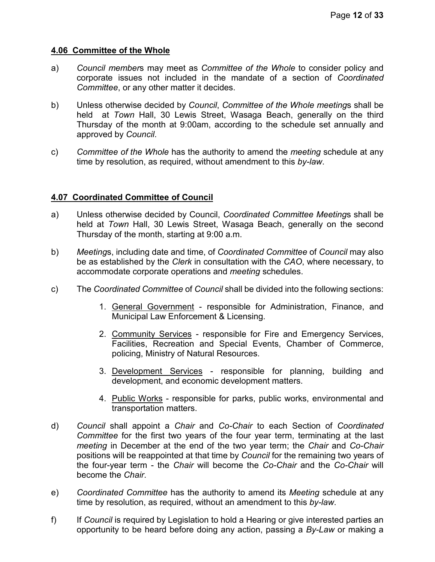### <span id="page-11-0"></span>**4.06 Committee of the Whole**

- a) *Council member*s may meet as *Committee of the Whole* to consider policy and corporate issues not included in the mandate of a section of *Coordinated Committee*, or any other matter it decides.
- b) Unless otherwise decided by *Council*, *Committee of the Whole meeting*s shall be held at *Town* Hall, 30 Lewis Street, Wasaga Beach, generally on the third Thursday of the month at 9:00am, according to the schedule set annually and approved by *Council*.
- c) *Committee of the Whole* has the authority to amend the *meeting* schedule at any time by resolution, as required, without amendment to this *by-law*.

## <span id="page-11-1"></span>**4.07 Coordinated Committee of Council**

- a) Unless otherwise decided by Council, *Coordinated Committee Meeting*s shall be held at *Town* Hall, 30 Lewis Street, Wasaga Beach, generally on the second Thursday of the month, starting at 9:00 a.m.
- b) *Meeting*s, including date and time, of *Coordinated Committee* of *Council* may also be as established by the *Clerk* in consultation with the *CAO*, where necessary, to accommodate corporate operations and *meeting* schedules.
- c) The *Coordinated Committee* of *Council* shall be divided into the following sections:
	- 1. General Government responsible for Administration, Finance, and Municipal Law Enforcement & Licensing.
	- 2. Community Services responsible for Fire and Emergency Services, Facilities, Recreation and Special Events, Chamber of Commerce, policing, Ministry of Natural Resources.
	- 3. Development Services responsible for planning, building and development, and economic development matters.
	- 4. Public Works responsible for parks, public works, environmental and transportation matters.
- d) *Council* shall appoint a *Chair* and *Co-Chair* to each Section of *Coordinated Committee* for the first two years of the four year term, terminating at the last *meeting* in December at the end of the two year term; the *Chair* and *Co-Chair* positions will be reappointed at that time by *Council* for the remaining two years of the four-year term - the *Chair* will become the *Co-Chair* and the *Co-Chair* will become the *Chair*.
- e) *Coordinated Committee* has the authority to amend its *Meeting* schedule at any time by resolution, as required, without an amendment to this *by-law*.
- f) If *Council* is required by Legislation to hold a Hearing or give interested parties an opportunity to be heard before doing any action, passing a *By-Law* or making a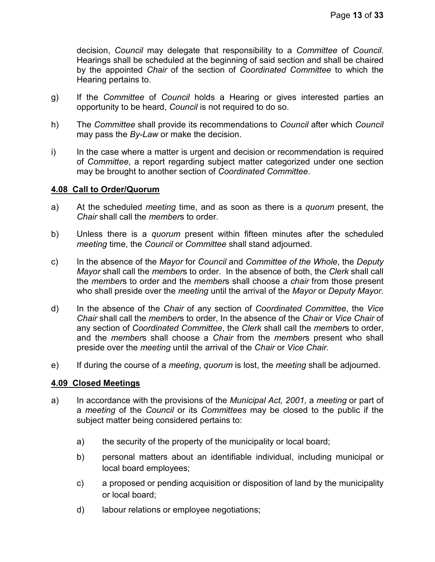decision, *Council* may delegate that responsibility to a *Committee* of *Council*. Hearings shall be scheduled at the beginning of said section and shall be chaired by the appointed *Chair* of the section of *Coordinated Committee* to which the Hearing pertains to.

- g) If the *Committee* of *Council* holds a Hearing or gives interested parties an opportunity to be heard, *Council* is not required to do so.
- h) The *Committee* shall provide its recommendations to *Council* after which *Council* may pass the *By-Law* or make the decision.
- i) In the case where a matter is urgent and decision or recommendation is required of *Committee*, a report regarding subject matter categorized under one section may be brought to another section of *Coordinated Committee*.

## <span id="page-12-0"></span>**4.08 Call to Order/Quorum**

- a) At the scheduled *meeting* time, and as soon as there is a *quorum* present, the *Chair* shall call the *member*s to order.
- b) Unless there is a *quorum* present within fifteen minutes after the scheduled *meeting* time, the *Council* or *Committee* shall stand adjourned.
- c) In the absence of the *Mayor* for *Council* and *Committee of the Whole*, the *Deputy Mayor* shall call the *member*s to order. In the absence of both, the *Clerk* shall call the *member*s to order and the *member*s shall choose a *chair* from those present who shall preside over the *meeting* until the arrival of the *Mayor* or *Deputy Mayor*.
- d) In the absence of the *Chair* of any section of *Coordinated Committee*, the *Vice Chair* shall call the *member*s to order, In the absence of the *Chair* or *Vice Chair* of any section of *Coordinated Committee*, the *Clerk* shall call the *member*s to order, and the *member*s shall choose a *Chair* from the *member*s present who shall preside over the *meeting* until the arrival of the *Chair* or *Vice Chair*.
- e) If during the course of a *meeting*, *quorum* is lost, the *meeting* shall be adjourned.

## <span id="page-12-1"></span>**4.09 Closed Meetings**

- a) In accordance with the provisions of the *Municipal Act, 2001,* a *meeting* or part of a *meeting* of the *Council* or its *Committees* may be closed to the public if the subject matter being considered pertains to:
	- a) the security of the property of the municipality or local board;
	- b) personal matters about an identifiable individual, including municipal or local board employees;
	- c) a proposed or pending acquisition or disposition of land by the municipality or local board;
	- d) labour relations or employee negotiations;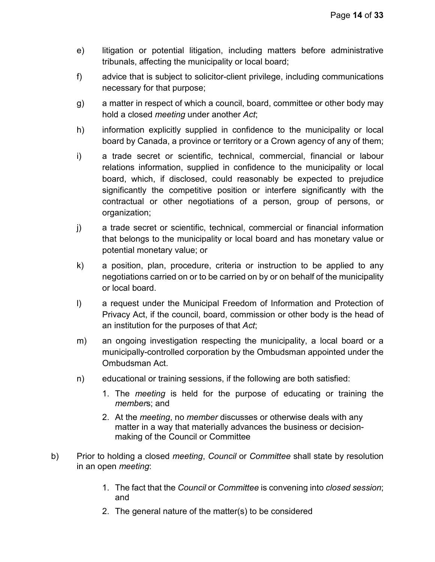- e) litigation or potential litigation, including matters before administrative tribunals, affecting the municipality or local board;
- f) advice that is subject to solicitor-client privilege, including communications necessary for that purpose;
- g) a matter in respect of which a council, board, committee or other body may hold a closed *meeting* under another *Act*;
- h) information explicitly supplied in confidence to the municipality or local board by Canada, a province or territory or a Crown agency of any of them;
- i) a trade secret or scientific, technical, commercial, financial or labour relations information, supplied in confidence to the municipality or local board, which, if disclosed, could reasonably be expected to prejudice significantly the competitive position or interfere significantly with the contractual or other negotiations of a person, group of persons, or organization;
- j) a trade secret or scientific, technical, commercial or financial information that belongs to the municipality or local board and has monetary value or potential monetary value; or
- k) a position, plan, procedure, criteria or instruction to be applied to any negotiations carried on or to be carried on by or on behalf of the municipality or local board.
- l) a request under the Municipal Freedom of Information and Protection of Privacy Act, if the council, board, commission or other body is the head of an institution for the purposes of that *Act*;
- m) an ongoing investigation respecting the municipality, a local board or a municipally-controlled corporation by the Ombudsman appointed under the Ombudsman Act.
- n) educational or training sessions, if the following are both satisfied:
	- 1. The *meeting* is held for the purpose of educating or training the *member*s; and
	- 2. At the *meeting*, no *member* discusses or otherwise deals with any matter in a way that materially advances the business or decisionmaking of the Council or Committee
- b) Prior to holding a closed *meeting*, *Council* or *Committee* shall state by resolution in an open *meeting*:
	- 1. The fact that the *Council* or *Committee* is convening into *closed session*; and
	- 2. The general nature of the matter(s) to be considered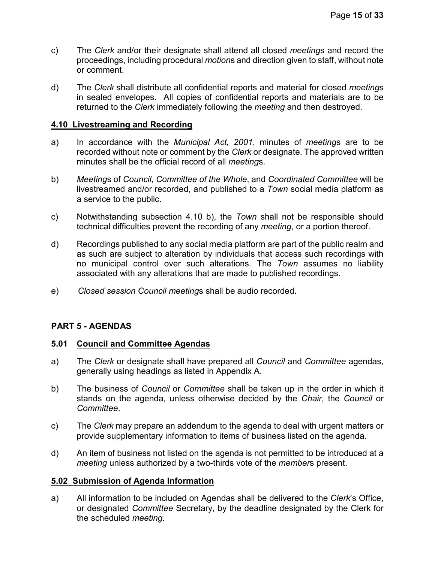- c) The *Clerk* and/or their designate shall attend all closed *meeting*s and record the proceedings, including procedural *motion*s and direction given to staff, without note or comment.
- d) The *Clerk* shall distribute all confidential reports and material for closed *meeting*s in sealed envelopes. All copies of confidential reports and materials are to be returned to the *Clerk* immediately following the *meeting* and then destroyed.

### <span id="page-14-0"></span>**4.10 Livestreaming and Recording**

- a) In accordance with the *Municipal Act, 2001*, minutes of *meeting*s are to be recorded without note or comment by the *Clerk* or designate. The approved written minutes shall be the official record of all *meeting*s.
- b) *Meeting*s of *Council*, *Committee of the Whole*, and *Coordinated Committee* will be livestreamed and/or recorded, and published to a *Town* social media platform as a service to the public.
- c) Notwithstanding subsection 4.10 b), the *Town* shall not be responsible should technical difficulties prevent the recording of any *meeting*, or a portion thereof.
- d) Recordings published to any social media platform are part of the public realm and as such are subject to alteration by individuals that access such recordings with no municipal control over such alterations. The *Town* assumes no liability associated with any alterations that are made to published recordings.
- e) *Closed session Council meeting*s shall be audio recorded.

## <span id="page-14-1"></span>**PART 5 - AGENDAS**

## <span id="page-14-2"></span>**5.01 Council and Committee Agendas**

- a) The *Clerk* or designate shall have prepared all *Council* and *Committee* agendas, generally using headings as listed in Appendix A.
- b) The business of *Council* or *Committee* shall be taken up in the order in which it stands on the agenda, unless otherwise decided by the *Chair*, the *Council* or *Committee*.
- c) The *Clerk* may prepare an addendum to the agenda to deal with urgent matters or provide supplementary information to items of business listed on the agenda.
- d) An item of business not listed on the agenda is not permitted to be introduced at a *meeting* unless authorized by a two-thirds vote of the *member*s present.

#### <span id="page-14-3"></span>**5.02 Submission of Agenda Information**

a) All information to be included on Agendas shall be delivered to the *Clerk*'s Office, or designated *Committee* Secretary, by the deadline designated by the Clerk for the scheduled *meeting*.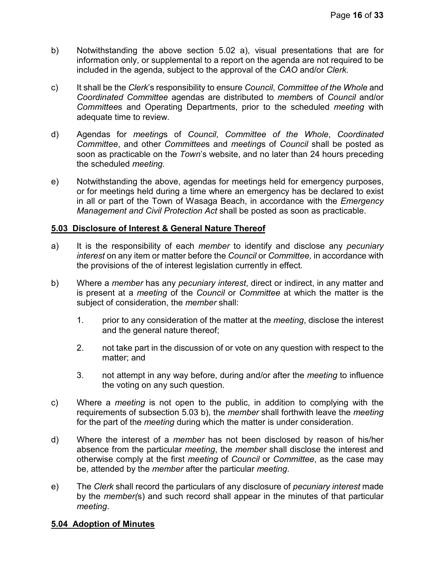- b) Notwithstanding the above section 5.02 a), visual presentations that are for information only, or supplemental to a report on the agenda are not required to be included in the agenda, subject to the approval of the *CAO* and/or *Clerk.*
- c) It shall be the *Clerk*'s responsibility to ensure *Council*, *Committee of the Whole* and *Coordinated Committee* agendas are distributed to *member*s of *Council* and/or *Committee*s and Operating Departments, prior to the scheduled *meeting* with adequate time to review.
- d) Agendas for *meeting*s of *Council*, *Committee of the Whole*, *Coordinated Committee*, and other *Committee*s and *meeting*s of *Council* shall be posted as soon as practicable on the *Town*'s website, and no later than 24 hours preceding the scheduled *meeting*.
- e) Notwithstanding the above, agendas for meetings held for emergency purposes, or for meetings held during a time where an emergency has be declared to exist in all or part of the Town of Wasaga Beach, in accordance with the *Emergency Management and Civil Protection Act* shall be posted as soon as practicable.

## <span id="page-15-0"></span>**5.03 Disclosure of Interest & General Nature Thereof**

- a) It is the responsibility of each *member* to identify and disclose any *pecuniary interest* on any item or matter before the *Council* or *Committee,* in accordance with the provisions of the of interest legislation currently in effect.
- b) Where a *member* has any *pecuniary interest*, direct or indirect, in any matter and is present at a *meeting* of the *Council* or *Committee* at which the matter is the subject of consideration, the *member* shall:
	- 1. prior to any consideration of the matter at the *meeting*, disclose the interest and the general nature thereof;
	- 2. not take part in the discussion of or vote on any question with respect to the matter; and
	- 3. not attempt in any way before, during and/or after the *meeting* to influence the voting on any such question.
- c) Where a *meeting* is not open to the public, in addition to complying with the requirements of subsection 5.03 b), the *member* shall forthwith leave the *meeting* for the part of the *meeting* during which the matter is under consideration.
- d) Where the interest of a *member* has not been disclosed by reason of his/her absence from the particular *meeting*, the *member* shall disclose the interest and otherwise comply at the first *meeting* of *Council* or *Committee*, as the case may be, attended by the *member* after the particular *meeting*.
- e) The *Clerk* shall record the particulars of any disclosure of *pecuniary interest* made by the *member(*s) and such record shall appear in the minutes of that particular *meeting*.

## <span id="page-15-1"></span>**5.04 Adoption of Minutes**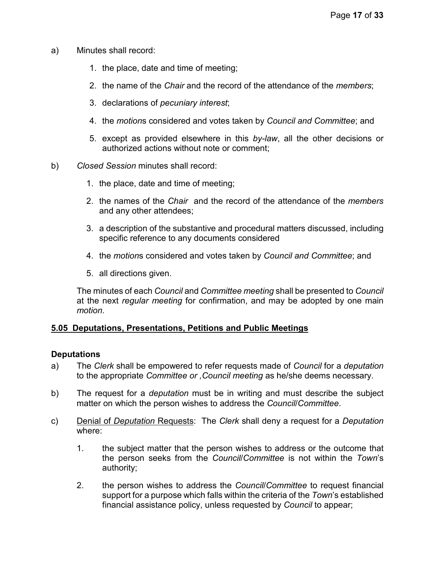- a) Minutes shall record:
	- 1. the place, date and time of meeting;
	- 2. the name of the *Chair* and the record of the attendance of the *members*;
	- 3. declarations of *pecuniary interest*;
	- 4. the *motion*s considered and votes taken by *Council and Committee*; and
	- 5. except as provided elsewhere in this *by-law*, all the other decisions or authorized actions without note or comment;
- b) *Closed Session* minutes shall record:
	- 1. the place, date and time of meeting;
	- 2. the names of the *Chair* and the record of the attendance of the *members* and any other attendees;
	- 3. a description of the substantive and procedural matters discussed, including specific reference to any documents considered
	- 4. the *motion*s considered and votes taken by *Council and Committee*; and
	- 5. all directions given.

The minutes of each *Council* and *Committee meeting* shall be presented to *Council* at the next *regular meeting* for confirmation, and may be adopted by one main *motion*.

## <span id="page-16-0"></span>**5.05 Deputations, Presentations, Petitions and Public Meetings**

#### **Deputations**

- a) The *Clerk* shall be empowered to refer requests made of *Council* for a *deputation* to the appropriate *Committee or ,Council meeting* as he/she deems necessary.
- b) The request for a *deputation* must be in writing and must describe the subject matter on which the person wishes to address the *Council*/*Committee*.
- c) Denial of *Deputation* Requests: The *Clerk* shall deny a request for a *Deputation* where:
	- 1. the subject matter that the person wishes to address or the outcome that the person seeks from the *Council*/*Committee* is not within the *Town*'s authority;
	- 2. the person wishes to address the *Council*/*Committee* to request financial support for a purpose which falls within the criteria of the *Town*'s established financial assistance policy, unless requested by *Council* to appear;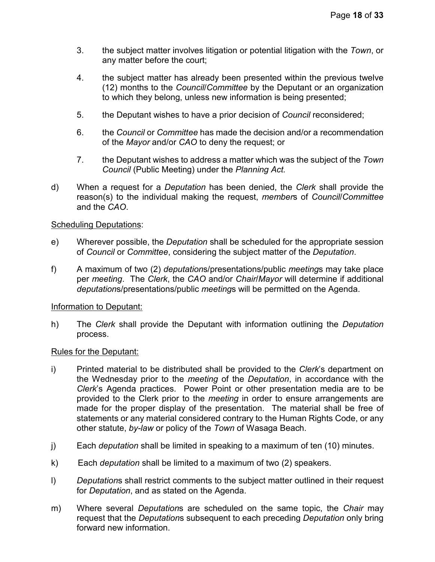- 3. the subject matter involves litigation or potential litigation with the *Town*, or any matter before the court;
- 4. the subject matter has already been presented within the previous twelve (12) months to the *Council*/*Committee* by the Deputant or an organization to which they belong, unless new information is being presented;
- 5. the Deputant wishes to have a prior decision of *Council* reconsidered;
- 6. the *Council* or *Committee* has made the decision and/or a recommendation of the *Mayor* and/or *CAO* to deny the request; or
- 7. the Deputant wishes to address a matter which was the subject of the *Town Council* (Public Meeting) under the *Planning Act.*
- d) When a request for a *Deputation* has been denied, the *Clerk* shall provide the reason(s) to the individual making the request, *member*s of *Council*/*Committee* and the *CAO*.

#### Scheduling Deputations:

- e) Wherever possible, the *Deputation* shall be scheduled for the appropriate session of *Council* or *Committee*, considering the subject matter of the *Deputation*.
- f) A maximum of two (2) *deputation*s/presentations/public *meeting*s may take place per *meeting*. The *Clerk*, the *CAO* and/or *Chair*/*Mayor* will determine if additional *deputation*s/presentations/public *meeting*s will be permitted on the Agenda.

#### Information to Deputant:

h) The *Clerk* shall provide the Deputant with information outlining the *Deputation* process.

#### Rules for the Deputant:

- i) Printed material to be distributed shall be provided to the *Clerk*'s department on the Wednesday prior to the *meeting* of the *Deputation*, in accordance with the *Clerk*'s Agenda practices. Power Point or other presentation media are to be provided to the Clerk prior to the *meeting* in order to ensure arrangements are made for the proper display of the presentation. The material shall be free of statements or any material considered contrary to the Human Rights Code, or any other statute, *by-law* or policy of the *Town* of Wasaga Beach.
- j) Each *deputation* shall be limited in speaking to a maximum of ten (10) minutes.
- k) Each *deputation* shall be limited to a maximum of two (2) speakers.
- l) *Deputation*s shall restrict comments to the subject matter outlined in their request for *Deputation*, and as stated on the Agenda.
- m) Where several *Deputation*s are scheduled on the same topic, the *Chair* may request that the *Deputation*s subsequent to each preceding *Deputation* only bring forward new information.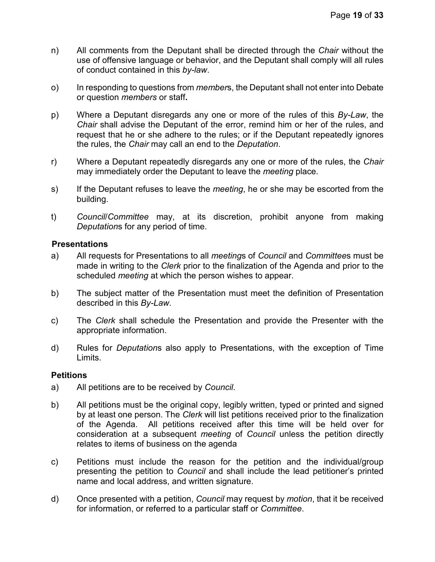- n) All comments from the Deputant shall be directed through the *Chair* without the use of offensive language or behavior, and the Deputant shall comply will all rules of conduct contained in this *by-law*.
- o) In responding to questions from *member*s, the Deputant shall not enter into Debate or question *members* or staff**.**
- p) Where a Deputant disregards any one or more of the rules of this *By-Law*, the *Chair* shall advise the Deputant of the error, remind him or her of the rules, and request that he or she adhere to the rules; or if the Deputant repeatedly ignores the rules, the *Chair* may call an end to the *Deputation*.
- r) Where a Deputant repeatedly disregards any one or more of the rules, the *Chair* may immediately order the Deputant to leave the *meeting* place.
- s) If the Deputant refuses to leave the *meeting*, he or she may be escorted from the building.
- t) *Council*/*Committee* may, at its discretion, prohibit anyone from making *Deputation*s for any period of time.

#### **Presentations**

- a) All requests for Presentations to all *meeting*s of *Council* and *Committee*s must be made in writing to the *Clerk* prior to the finalization of the Agenda and prior to the scheduled *meeting* at which the person wishes to appear.
- b) The subject matter of the Presentation must meet the definition of Presentation described in this *By-Law*.
- c) The *Clerk* shall schedule the Presentation and provide the Presenter with the appropriate information.
- d) Rules for *Deputation*s also apply to Presentations, with the exception of Time Limits.

#### **Petitions**

- a) All petitions are to be received by *Council*.
- b) All petitions must be the original copy, legibly written, typed or printed and signed by at least one person. The *Clerk* will list petitions received prior to the finalization of the Agenda. All petitions received after this time will be held over for consideration at a subsequent *meeting* of *Council* unless the petition directly relates to items of business on the agenda
- c) Petitions must include the reason for the petition and the individual/group presenting the petition to *Council* and shall include the lead petitioner's printed name and local address, and written signature.
- d) Once presented with a petition, *Council* may request by *motion*, that it be received for information, or referred to a particular staff or *Committee*.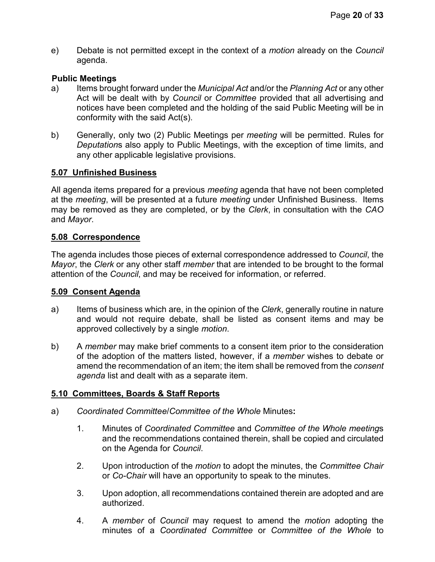e) Debate is not permitted except in the context of a *motion* already on the *Council* agenda.

### **Public Meetings**

- a) Items brought forward under the *Municipal Act* and/or the *Planning Act* or any other Act will be dealt with by *Council* or *Committee* provided that all advertising and notices have been completed and the holding of the said Public Meeting will be in conformity with the said Act(s).
- b) Generally, only two (2) Public Meetings per *meeting* will be permitted. Rules for *Deputation*s also apply to Public Meetings, with the exception of time limits, and any other applicable legislative provisions.

#### <span id="page-19-0"></span>**5.07 Unfinished Business**

All agenda items prepared for a previous *meeting* agenda that have not been completed at the *meeting*, will be presented at a future *meeting* under Unfinished Business. Items may be removed as they are completed, or by the *Clerk*, in consultation with the *CAO* and *Mayor*.

#### <span id="page-19-1"></span>**5.08 Correspondence**

The agenda includes those pieces of external correspondence addressed to *Council*, the *Mayor*, the *Clerk* or any other staff *member* that are intended to be brought to the formal attention of the *Council*, and may be received for information, or referred.

#### <span id="page-19-2"></span>**5.09 Consent Agenda**

- a) Items of business which are, in the opinion of the *Clerk*, generally routine in nature and would not require debate, shall be listed as consent items and may be approved collectively by a single *motion*.
- b) A *member* may make brief comments to a consent item prior to the consideration of the adoption of the matters listed, however, if a *member* wishes to debate or amend the recommendation of an item; the item shall be removed from the *consent agenda* list and dealt with as a separate item.

## <span id="page-19-3"></span>**5.10 Committees, Boards & Staff Reports**

- a) *Coordinated Committee*/*Committee of the Whole* Minutes**:**
	- 1. Minutes of *Coordinated Committee* and *Committee of the Whole meeting*s and the recommendations contained therein, shall be copied and circulated on the Agenda for *Council*.
	- 2. Upon introduction of the *motion* to adopt the minutes, the *Committee Chair* or *Co-Chair* will have an opportunity to speak to the minutes.
	- 3. Upon adoption, all recommendations contained therein are adopted and are authorized.
	- 4. A *member* of *Council* may request to amend the *motion* adopting the minutes of a *Coordinated Committee* or *Committee of the Whole* to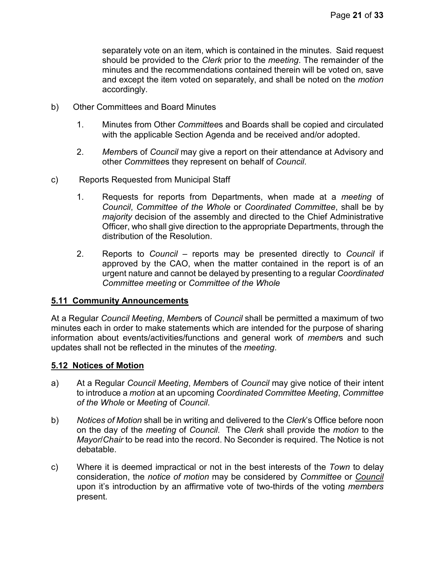separately vote on an item, which is contained in the minutes. Said request should be provided to the *Clerk* prior to the *meeting*. The remainder of the minutes and the recommendations contained therein will be voted on, save and except the item voted on separately, and shall be noted on the *motion* accordingly.

- b) Other Committees and Board Minutes
	- 1. Minutes from Other *Committee*s and Boards shall be copied and circulated with the applicable Section Agenda and be received and/or adopted.
	- 2. *Member*s of *Council* may give a report on their attendance at Advisory and other *Committee*s they represent on behalf of *Council*.
- c) Reports Requested from Municipal Staff
	- 1. Requests for reports from Departments, when made at a *meeting* of *Council*, *Committee of the Whole* or *Coordinated Committee*, shall be by *majority* decision of the assembly and directed to the Chief Administrative Officer, who shall give direction to the appropriate Departments, through the distribution of the Resolution.
	- 2. Reports to *Council* reports may be presented directly to *Council* if approved by the CAO, when the matter contained in the report is of an urgent nature and cannot be delayed by presenting to a regular *Coordinated Committee meeting* or *Committee of the Whole*

## <span id="page-20-0"></span>**5.11 Community Announcements**

At a Regular *Council Meeting*, *Member*s of *Council* shall be permitted a maximum of two minutes each in order to make statements which are intended for the purpose of sharing information about events/activities/functions and general work of *member*s and such updates shall not be reflected in the minutes of the *meeting*.

#### <span id="page-20-1"></span>**5.12 Notices of Motion**

- a) At a Regular *Council Meeting*, *Member*s of *Council* may give notice of their intent to introduce a *motion* at an upcoming *Coordinated Committee Meeting*, *Committee of the Whole* or *Meeting* of *Council*.
- b) *Notices of Motion* shall be in writing and delivered to the *Clerk*'s Office before noon on the day of the *meeting* of *Council*. The *Clerk* shall provide the *motion* to the *Mayor*/*Chair* to be read into the record. No Seconder is required. The Notice is not debatable.
- c) Where it is deemed impractical or not in the best interests of the *Town* to delay consideration, the *notice of motion* may be considered by *Committee* or *Council* upon it's introduction by an affirmative vote of two-thirds of the voting *members* present.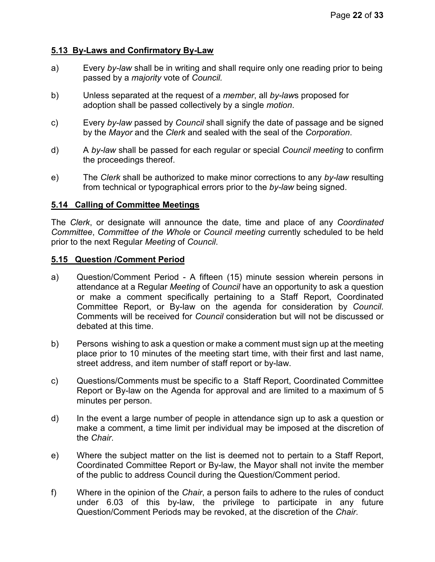# <span id="page-21-0"></span>**5.13 By-Laws and Confirmatory By-Law**

- a) Every *by-law* shall be in writing and shall require only one reading prior to being passed by a *majority* vote of *Council.*
- b) Unless separated at the request of a *member*, all *by-law*s proposed for adoption shall be passed collectively by a single *motion*.
- c) Every *by-law* passed by *Council* shall signify the date of passage and be signed by the *Mayor* and the *Clerk* and sealed with the seal of the *Corporation*.
- d) A *by-law* shall be passed for each regular or special *Council meeting* to confirm the proceedings thereof.
- e) The *Clerk* shall be authorized to make minor corrections to any *by-law* resulting from technical or typographical errors prior to the *by-law* being signed.

## <span id="page-21-1"></span>**5.14 Calling of Committee Meetings**

The *Clerk*, or designate will announce the date, time and place of any *Coordinated Committee*, *Committee of the Whole* or *Council meeting* currently scheduled to be held prior to the next Regular *Meeting* of *Council*.

#### <span id="page-21-2"></span>**5.15 Question /Comment Period**

- a) Question/Comment Period A fifteen (15) minute session wherein persons in attendance at a Regular *Meeting* of *Council* have an opportunity to ask a question or make a comment specifically pertaining to a Staff Report, Coordinated Committee Report, or By-law on the agenda for consideration by *Council*. Comments will be received for *Council* consideration but will not be discussed or debated at this time.
- b) Persons wishing to ask a question or make a comment must sign up at the meeting place prior to 10 minutes of the meeting start time, with their first and last name, street address, and item number of staff report or by-law.
- c) Questions/Comments must be specific to a Staff Report, Coordinated Committee Report or By-law on the Agenda for approval and are limited to a maximum of 5 minutes per person.
- d) In the event a large number of people in attendance sign up to ask a question or make a comment, a time limit per individual may be imposed at the discretion of the *Chair*.
- e) Where the subject matter on the list is deemed not to pertain to a Staff Report, Coordinated Committee Report or By-law, the Mayor shall not invite the member of the public to address Council during the Question/Comment period.
- f) Where in the opinion of the *Chair*, a person fails to adhere to the rules of conduct under 6.03 of this by-law, the privilege to participate in any future Question/Comment Periods may be revoked, at the discretion of the *Chair*.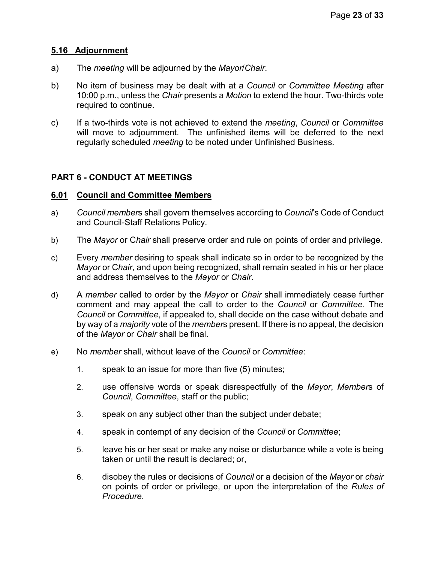## <span id="page-22-0"></span>**5.16 Adjournment**

- a) The *meeting* will be adjourned by the *Mayor*/*Chair*.
- b) No item of business may be dealt with at a *Council* or *Committee Meeting* after 10:00 p.m., unless the *Chair* presents a *Motion* to extend the hour. Two-thirds vote required to continue.
- c) If a two-thirds vote is not achieved to extend the *meeting*, *Council* or *Committee* will move to adjournment. The unfinished items will be deferred to the next regularly scheduled *meeting* to be noted under Unfinished Business.

# <span id="page-22-1"></span>**PART 6 - CONDUCT AT MEETINGS**

#### <span id="page-22-2"></span>**6.01 Council and Committee Members**

- a) *Council member*s shall govern themselves according to *Council*'s Code of Conduct and Council-Staff Relations Policy.
- b) The *Mayor* or C*hair* shall preserve order and rule on points of order and privilege.
- c) Every *member* desiring to speak shall indicate so in order to be recognized by the *Mayor* or C*hair*, and upon being recognized, shall remain seated in his or her place and address themselves to the *Mayor* or *Chair*.
- d) A *member* called to order by the *Mayor* or *Chair* shall immediately cease further comment and may appeal the call to order to the *Council* or *Committee*. The *Council* or *Committee*, if appealed to, shall decide on the case without debate and by way of a *majority* vote of the *member*s present. If there is no appeal, the decision of the *Mayor* or *Chair* shall be final.
- e) No *member* shall, without leave of the *Council* or *Committee*:
	- 1. speak to an issue for more than five (5) minutes;
	- 2. use offensive words or speak disrespectfully of the *Mayor*, *Member*s of *Council*, *Committee*, staff or the public;
	- 3. speak on any subject other than the subject under debate;
	- 4. speak in contempt of any decision of the *Council* or *Committee*;
	- 5. leave his or her seat or make any noise or disturbance while a vote is being taken or until the result is declared; or,
	- 6. disobey the rules or decisions of *Council* or a decision of the *Mayor* or *chair* on points of order or privilege, or upon the interpretation of the *Rules of Procedure*.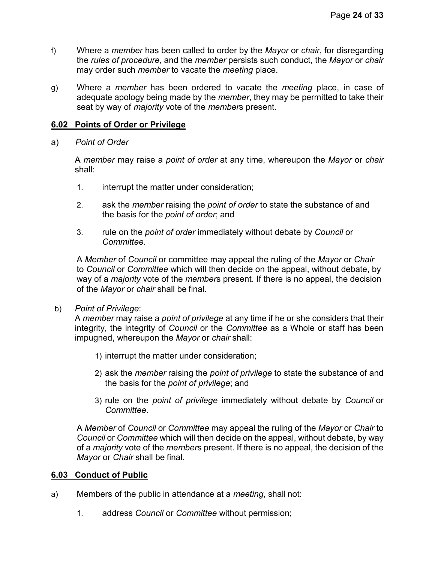- f) Where a *member* has been called to order by the *Mayor* or *chair*, for disregarding the *rules of procedure*, and the *member* persists such conduct, the *Mayor* or *chair* may order such *member* to vacate the *meeting* place.
- g) Where a *member* has been ordered to vacate the *meeting* place, in case of adequate apology being made by the *member*, they may be permitted to take their seat by way of *majority* vote of the *member*s present.

## <span id="page-23-0"></span>**6.02 Points of Order or Privilege**

a) *Point of Order*

A *member* may raise a *point of order* at any time, whereupon the *Mayor* or *chair* shall:

- 1. interrupt the matter under consideration;
- 2. ask the *member* raising the *point of order* to state the substance of and the basis for the *point of order*; and
- 3. rule on the *point of order* immediately without debate by *Council* or *Committee*.

A *Member* of *Council* or committee may appeal the ruling of the *Mayor* or *Chair* to *Council* or *Committee* which will then decide on the appeal, without debate, by way of a *majority* vote of the *member*s present. If there is no appeal, the decision of the *Mayor* or *chair* shall be final.

b) *Point of Privilege*:

A *member* may raise a *point of privilege* at any time if he or she considers that their integrity, the integrity of *Council* or the *Committee* as a Whole or staff has been impugned, whereupon the *Mayor* or *chair* shall:

- 1) interrupt the matter under consideration;
- 2) ask the *member* raising the *point of privilege* to state the substance of and the basis for the *point of privilege*; and
- 3) rule on the *point of privilege* immediately without debate by *Council* or *Committee*.

A *Member* of *Council* or *Committee* may appeal the ruling of the *Mayor* or *Chair* to *Council* or *Committee* which will then decide on the appeal, without debate, by way of a *majority* vote of the *member*s present. If there is no appeal, the decision of the *Mayor* or *Chair* shall be final.

## <span id="page-23-1"></span>**6.03 Conduct of Public**

- a) Members of the public in attendance at a *meeting*, shall not:
	- 1. address *Council* or *Committee* without permission;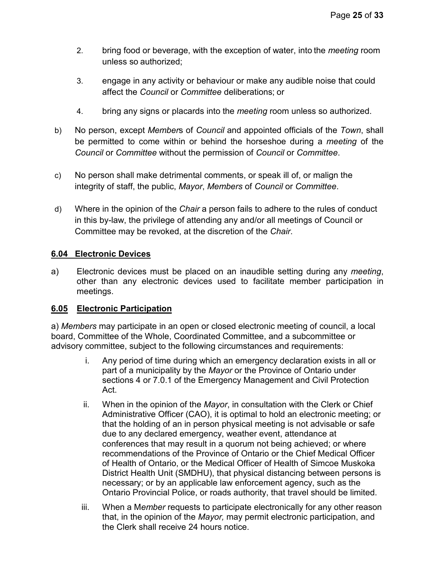- 2. bring food or beverage, with the exception of water, into the *meeting* room unless so authorized;
- 3. engage in any activity or behaviour or make any audible noise that could affect the *Council* or *Committee* deliberations; or
- 4. bring any signs or placards into the *meeting* room unless so authorized.
- b) No person, except *Member*s of *Council* and appointed officials of the *Town*, shall be permitted to come within or behind the horseshoe during a *meeting* of the *Council* or *Committee* without the permission of *Council* or *Committee*.
- c) No person shall make detrimental comments, or speak ill of, or malign the integrity of staff, the public, *Mayor*, *Members* of *Council* or *Committee*.
- d) Where in the opinion of the *Chair* a person fails to adhere to the rules of conduct in this by-law, the privilege of attending any and/or all meetings of Council or Committee may be revoked, at the discretion of the *Chair*.

# <span id="page-24-0"></span>**6.04 Electronic Devices**

a) Electronic devices must be placed on an inaudible setting during any *meeting*, other than any electronic devices used to facilitate member participation in meetings.

## <span id="page-24-1"></span>**6.05 Electronic Participation**

<span id="page-24-2"></span>a) *Members* may participate in an open or closed electronic meeting of council, a local board, Committee of the Whole, Coordinated Committee, and a subcommittee or advisory committee, subject to the following circumstances and requirements:

- i. Any period of time during which an emergency declaration exists in all or part of a municipality by the *Mayor* or the Province of Ontario under sections 4 or 7.0.1 of the Emergency Management and Civil Protection Act.
- ii. When in the opinion of the *Mayor*, in consultation with the Clerk or Chief Administrative Officer (CAO), it is optimal to hold an electronic meeting; or that the holding of an in person physical meeting is not advisable or safe due to any declared emergency, weather event, attendance at conferences that may result in a quorum not being achieved; or where recommendations of the Province of Ontario or the Chief Medical Officer of Health of Ontario, or the Medical Officer of Health of Simcoe Muskoka District Health Unit (SMDHU), that physical distancing between persons is necessary; or by an applicable law enforcement agency, such as the Ontario Provincial Police, or roads authority, that travel should be limited.
- iii. When a M*ember* requests to participate electronically for any other reason that, in the opinion of the *Mayor,* may permit electronic participation, and the Clerk shall receive 24 hours notice.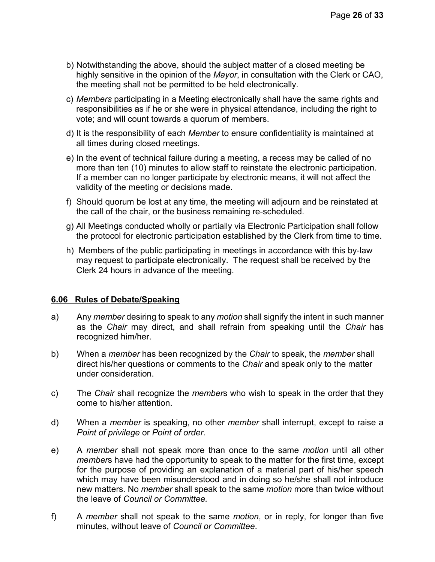- b) Notwithstanding the above, should the subject matter of a closed meeting be highly sensitive in the opinion of the *Mayor*, in consultation with the Clerk or CAO, the meeting shall not be permitted to be held electronically.
- c) *Members* participating in a Meeting electronically shall have the same rights and responsibilities as if he or she were in physical attendance, including the right to vote; and will count towards a quorum of members.
- d) It is the responsibility of each *Member* to ensure confidentiality is maintained at all times during closed meetings.
- e) In the event of technical failure during a meeting, a recess may be called of no more than ten (10) minutes to allow staff to reinstate the electronic participation. If a member can no longer participate by electronic means, it will not affect the validity of the meeting or decisions made.
- f) Should quorum be lost at any time, the meeting will adjourn and be reinstated at the call of the chair, or the business remaining re-scheduled.
- g) All Meetings conducted wholly or partially via Electronic Participation shall follow the protocol for electronic participation established by the Clerk from time to time.
- h) Members of the public participating in meetings in accordance with this by-law may request to participate electronically. The request shall be received by the Clerk 24 hours in advance of the meeting.

## **6.06 Rules of Debate/Speaking**

- a) Any *member* desiring to speak to any *motion* shall signify the intent in such manner as the *Chair* may direct, and shall refrain from speaking until the *Chair* has recognized him/her.
- b) When a *member* has been recognized by the *Chair* to speak, the *member* shall direct his/her questions or comments to the *Chair* and speak only to the matter under consideration.
- c) The *Chair* shall recognize the *member*s who wish to speak in the order that they come to his/her attention.
- d) When a *member* is speaking, no other *member* shall interrupt, except to raise a *Point of privilege* or *Point of order*.
- e) A *member* shall not speak more than once to the same *motion* until all other *member*s have had the opportunity to speak to the matter for the first time, except for the purpose of providing an explanation of a material part of his/her speech which may have been misunderstood and in doing so he/she shall not introduce new matters. No *member* shall speak to the same *motion* more than twice without the leave of *Council or Committee.*
- f) A *member* shall not speak to the same *motion*, or in reply, for longer than five minutes, without leave of *Council or Committee*.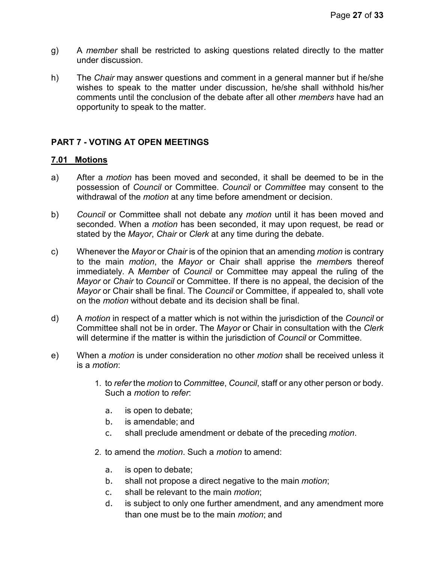- g) A *member* shall be restricted to asking questions related directly to the matter under discussion.
- h) The *Chair* may answer questions and comment in a general manner but if he/she wishes to speak to the matter under discussion, he/she shall withhold his/her comments until the conclusion of the debate after all other *members* have had an opportunity to speak to the matter.

# <span id="page-26-0"></span>**PART 7 - VOTING AT OPEN MEETINGS**

#### <span id="page-26-1"></span>**7.01 Motions**

- a) After a *motion* has been moved and seconded, it shall be deemed to be in the possession of *Council* or Committee. *Council* or *Committee* may consent to the withdrawal of the *motion* at any time before amendment or decision.
- b) *Council* or Committee shall not debate any *motion* until it has been moved and seconded. When a *motion* has been seconded, it may upon request, be read or stated by the *Mayor*, *Chair* or *Clerk* at any time during the debate.
- c) Whenever the *Mayor* or *Chair* is of the opinion that an amending *motion* is contrary to the main *motion*, the *Mayor* or Chair shall apprise the *member*s thereof immediately. A *Member* of *Council* or Committee may appeal the ruling of the *Mayor* or *Chair* to *Council* or Committee. If there is no appeal, the decision of the *Mayor* or Chair shall be final. The *Council* or Committee, if appealed to, shall vote on the *motion* without debate and its decision shall be final.
- d) A *motion* in respect of a matter which is not within the jurisdiction of the *Council* or Committee shall not be in order. The *Mayor* or Chair in consultation with the *Clerk* will determine if the matter is within the jurisdiction of *Council* or Committee.
- e) When a *motion* is under consideration no other *motion* shall be received unless it is a *motion*:
	- 1. to *refer* the *motion* to *Committee*, *Council*, staff or any other person or body. Such a *motion* to *refer*:
		- a. is open to debate;
		- b. is amendable; and
		- c. shall preclude amendment or debate of the preceding *motion*.
	- 2. to amend the *motion*. Such a *motion* to amend:
		- a. is open to debate;
		- b. shall not propose a direct negative to the main *motion*;
		- c. shall be relevant to the main *motion*;
		- d. is subject to only one further amendment, and any amendment more than one must be to the main *motion*; and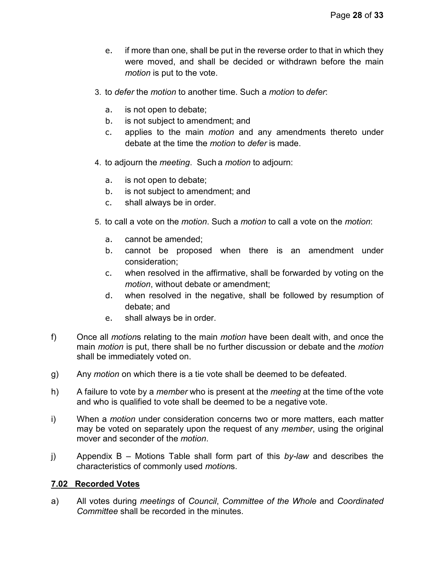- e. if more than one, shall be put in the reverse order to that in which they were moved, and shall be decided or withdrawn before the main *motion* is put to the vote.
- 3. to *defer* the *motion* to another time. Such a *motion* to *defer*:
	- a. is not open to debate;
	- b. is not subject to amendment; and
	- c. applies to the main *motion* and any amendments thereto under debate at the time the *motion* to *defer* is made.
- 4. to adjourn the *meeting*. Such a *motion* to adjourn:
	- a. is not open to debate;
	- b. is not subject to amendment; and
	- c. shall always be in order.
- 5. to call a vote on the *motion*. Such a *motion* to call a vote on the *motion*:
	- a. cannot be amended;
	- b. cannot be proposed when there is an amendment under consideration;
	- c. when resolved in the affirmative, shall be forwarded by voting on the *motion*, without debate or amendment;
	- d. when resolved in the negative, shall be followed by resumption of debate; and
	- e. shall always be in order.
- f) Once all *motion*s relating to the main *motion* have been dealt with, and once the main *motion* is put, there shall be no further discussion or debate and the *motion* shall be immediately voted on.
- g) Any *motion* on which there is a tie vote shall be deemed to be defeated.
- h) A failure to vote by a *member* who is present at the *meeting* at the time of the vote and who is qualified to vote shall be deemed to be a negative vote.
- i) When a *motion* under consideration concerns two or more matters, each matter may be voted on separately upon the request of any *member*, using the original mover and seconder of the *motion*.
- j) Appendix B Motions Table shall form part of this *by-law* and describes the characteristics of commonly used *motion*s.

## <span id="page-27-0"></span>**7.02 Recorded Votes**

a) All votes during *meetings* of *Council*, *Committee of the Whole* and *Coordinated Committee* shall be recorded in the minutes.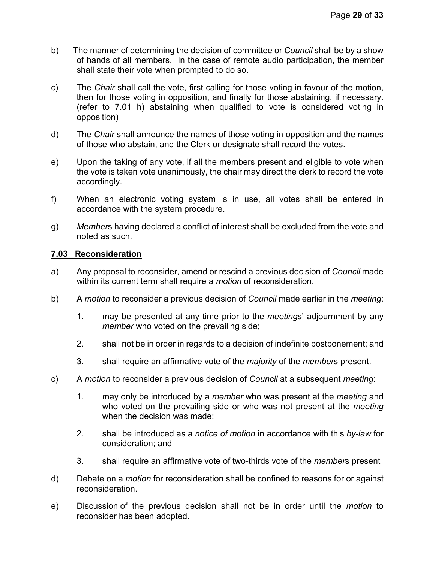- b) The manner of determining the decision of committee or *Council* shall be by a show of hands of all members. In the case of remote audio participation, the member shall state their vote when prompted to do so.
- c) The *Chair* shall call the vote, first calling for those voting in favour of the motion, then for those voting in opposition, and finally for those abstaining, if necessary. (refer to 7.01 h) abstaining when qualified to vote is considered voting in opposition)
- d) The *Chair* shall announce the names of those voting in opposition and the names of those who abstain, and the Clerk or designate shall record the votes.
- e) Upon the taking of any vote, if all the members present and eligible to vote when the vote is taken vote unanimously, the chair may direct the clerk to record the vote accordingly.
- f) When an electronic voting system is in use, all votes shall be entered in accordance with the system procedure.
- g) *Member*s having declared a conflict of interest shall be excluded from the vote and noted as such.

# <span id="page-28-0"></span>**7.03 Reconsideration**

- a) Any proposal to reconsider, amend or rescind a previous decision of *Council* made within its current term shall require a *motion* of reconsideration.
- b) A *motion* to reconsider a previous decision of *Council* made earlier in the *meeting*:
	- 1. may be presented at any time prior to the *meeting*s' adjournment by any *member* who voted on the prevailing side;
	- 2. shall not be in order in regards to a decision of indefinite postponement; and
	- 3. shall require an affirmative vote of the *majority* of the *member*s present.
- c) A *motion* to reconsider a previous decision of *Council* at a subsequent *meeting*:
	- 1. may only be introduced by a *member* who was present at the *meeting* and who voted on the prevailing side or who was not present at the *meeting* when the decision was made;
	- 2. shall be introduced as a *notice of motion* in accordance with this *by-law* for consideration; and
	- 3. shall require an affirmative vote of two-thirds vote of the *member*s present
- d) Debate on a *motion* for reconsideration shall be confined to reasons for or against reconsideration.
- e) Discussion of the previous decision shall not be in order until the *motion* to reconsider has been adopted.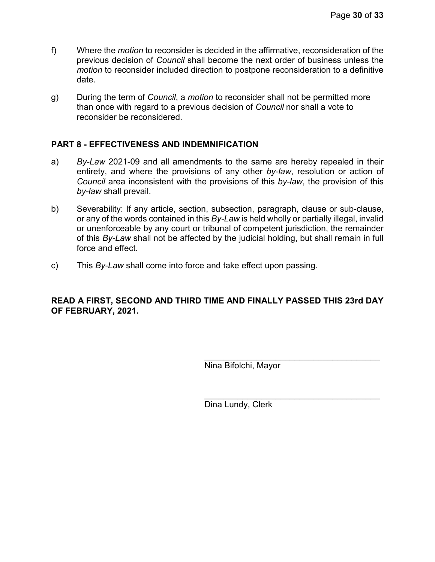- f) Where the *motion* to reconsider is decided in the affirmative, reconsideration of the previous decision of *Council* shall become the next order of business unless the *motion* to reconsider included direction to postpone reconsideration to a definitive date.
- g) During the term of *Council*, a *motion* to reconsider shall not be permitted more than once with regard to a previous decision of *Council* nor shall a vote to reconsider be reconsidered.

# <span id="page-29-0"></span>**PART 8 - EFFECTIVENESS AND INDEMNIFICATION**

- a) *By-Law* 2021-09 and all amendments to the same are hereby repealed in their entirety, and where the provisions of any other *by-law*, resolution or action of *Council* area inconsistent with the provisions of this *by-law*, the provision of this *by-law* shall prevail.
- b) Severability: If any article, section, subsection, paragraph, clause or sub-clause, or any of the words contained in this *By-Law* is held wholly or partially illegal, invalid or unenforceable by any court or tribunal of competent jurisdiction, the remainder of this *By-Law* shall not be affected by the judicial holding, but shall remain in full force and effect.
- c) This *By-Law* shall come into force and take effect upon passing.

## **READ A FIRST, SECOND AND THIRD TIME AND FINALLY PASSED THIS 23rd DAY OF FEBRUARY, 2021.**

\_\_\_\_\_\_\_\_\_\_\_\_\_\_\_\_\_\_\_\_\_\_\_\_\_\_\_\_\_\_\_\_\_\_\_\_\_ Nina Bifolchi, Mayor

Dina Lundy, Clerk

\_\_\_\_\_\_\_\_\_\_\_\_\_\_\_\_\_\_\_\_\_\_\_\_\_\_\_\_\_\_\_\_\_\_\_\_\_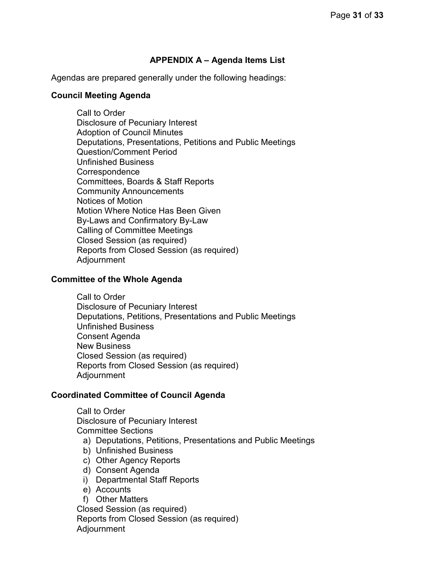# **APPENDIX A – Agenda Items List**

<span id="page-30-0"></span>Agendas are prepared generally under the following headings:

#### **Council Meeting Agenda**

Call to Order Disclosure of Pecuniary Interest Adoption of Council Minutes Deputations, Presentations, Petitions and Public Meetings Question/Comment Period Unfinished Business **Correspondence** Committees, Boards & Staff Reports Community Announcements Notices of Motion Motion Where Notice Has Been Given By-Laws and Confirmatory By-Law Calling of Committee Meetings Closed Session (as required) Reports from Closed Session (as required) Adjournment

#### **Committee of the Whole Agenda**

Call to Order Disclosure of Pecuniary Interest Deputations, Petitions, Presentations and Public Meetings Unfinished Business Consent Agenda New Business Closed Session (as required) Reports from Closed Session (as required) Adjournment

## **Coordinated Committee of Council Agenda**

Call to Order Disclosure of Pecuniary Interest Committee Sections

a) Deputations, Petitions, Presentations and Public Meetings

- b) Unfinished Business
- c) Other Agency Reports
- d) Consent Agenda
- i) Departmental Staff Reports
- e) Accounts

f) Other Matters Closed Session (as required) Reports from Closed Session (as required) Adjournment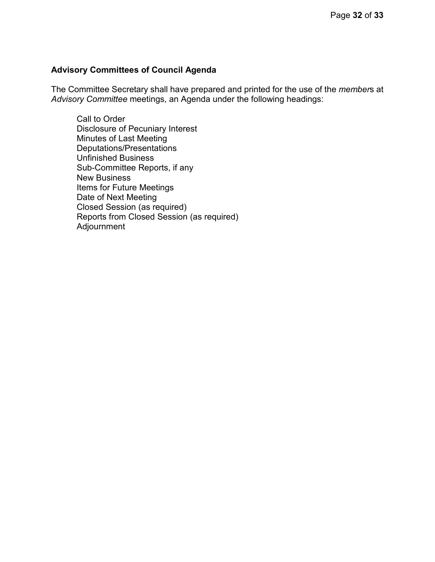## **Advisory Committees of Council Agenda**

The Committee Secretary shall have prepared and printed for the use of the *member*s at *Advisory Committee* meetings, an Agenda under the following headings:

Call to Order Disclosure of Pecuniary Interest Minutes of Last Meeting Deputations/Presentations Unfinished Business Sub-Committee Reports, if any New Business Items for Future Meetings Date of Next Meeting Closed Session (as required) Reports from Closed Session (as required) Adjournment